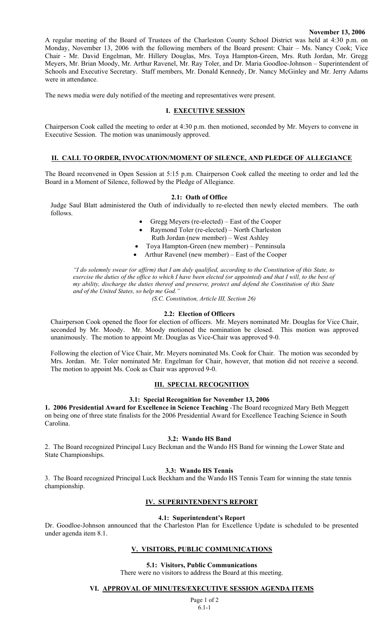#### **November 13, 2006**

A regular meeting of the Board of Trustees of the Charleston County School District was held at 4:30 p.m. on Monday, November 13, 2006 with the following members of the Board present: Chair – Ms. Nancy Cook; Vice Chair - Mr. David Engelman, Mr. Hillery Douglas, Mrs. Toya Hampton-Green, Mrs. Ruth Jordan, Mr. Gregg Meyers, Mr. Brian Moody, Mr. Arthur Ravenel, Mr. Ray Toler, and Dr. Maria Goodloe-Johnson – Superintendent of Schools and Executive Secretary. Staff members, Mr. Donald Kennedy, Dr. Nancy McGinley and Mr. Jerry Adams were in attendance.

The news media were duly notified of the meeting and representatives were present.

## **I. EXECUTIVE SESSION**

Chairperson Cook called the meeting to order at 4:30 p.m. then motioned, seconded by Mr. Meyers to convene in Executive Session. The motion was unanimously approved.

#### **II. CALL TO ORDER, INVOCATION/MOMENT OF SILENCE, AND PLEDGE OF ALLEGIANCE**

The Board reconvened in Open Session at 5:15 p.m. Chairperson Cook called the meeting to order and led the Board in a Moment of Silence, followed by the Pledge of Allegiance.

#### **2.1: Oath of Office**

Judge Saul Blatt administered the Oath of individually to re-elected then newly elected members. The oath follows.

- Gregg Meyers (re-elected) East of the Cooper
- Raymond Toler (re-elected) North Charleston
	- Ruth Jordan (new member) West Ashley
- Toya Hampton-Green (new member) Penninsula
- Arthur Ravenel (new member) East of the Cooper

*"I do solemnly swear (or affirm) that I am duly qualified, according to the Constitution of this State, to exercise the duties of the office to which I have been elected (or appointed) and that I will, to the best of my ability, discharge the duties thereof and preserve, protect and defend the Constitution of this State and of the United States, so help me God."* 

*(S.C. Constitution, Article III, Section 26)*

#### **2.2: Election of Officers**

Chairperson Cook opened the floor for election of officers. Mr. Meyers nominated Mr. Douglas for Vice Chair, seconded by Mr. Moody. Mr. Moody motioned the nomination be closed. This motion was approved unanimously. The motion to appoint Mr. Douglas as Vice-Chair was approved 9-0.

Following the election of Vice Chair, Mr. Meyers nominated Ms. Cook for Chair. The motion was seconded by Mrs. Jordan. Mr. Toler nominated Mr. Engelman for Chair, however, that motion did not receive a second. The motion to appoint Ms. Cook as Chair was approved 9-0.

# **III. SPECIAL RECOGNITION**

#### **3.1: Special Recognition for November 13, 2006**

**1. 2006 Presidential Award for Excellence in Science Teaching** -The Board recognized Mary Beth Meggett on being one of three state finalists for the 2006 Presidential Award for Excellence Teaching Science in South Carolina.

#### **3.2: Wando HS Band**

2. The Board recognized Principal Lucy Beckman and the Wando HS Band for winning the Lower State and State Championships.

#### **3.3: Wando HS Tennis**

3. The Board recognized Principal Luck Beckham and the Wando HS Tennis Team for winning the state tennis championship.

## **IV. SUPERINTENDENT'S REPORT**

#### **4.1: Superintendent's Report**

Dr. Goodloe-Johnson announced that the Charleston Plan for Excellence Update is scheduled to be presented under agenda item 8.1.

#### **V. VISITORS, PUBLIC COMMUNICATIONS**

**5.1: Visitors, Public Communications**  There were no visitors to address the Board at this meeting.

**VI. APPROVAL OF MINUTES/EXECUTIVE SESSION AGENDA ITEMS**